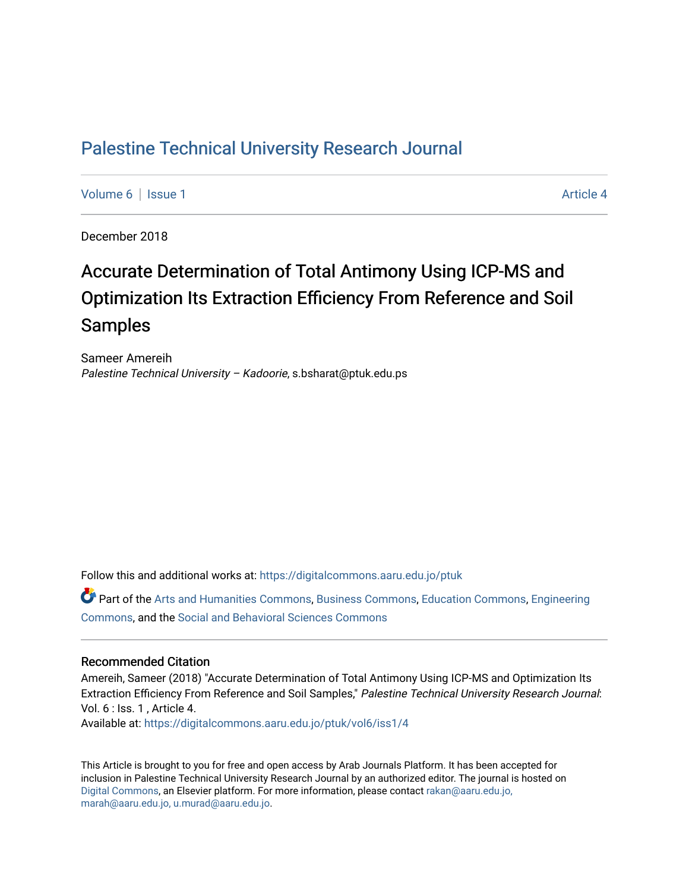## [Palestine Technical University Research Journal](https://digitalcommons.aaru.edu.jo/ptuk)

[Volume 6](https://digitalcommons.aaru.edu.jo/ptuk/vol6) | [Issue 1](https://digitalcommons.aaru.edu.jo/ptuk/vol6/iss1) Article 4

December 2018

# Accurate Determination of Total Antimony Using ICP-MS and Optimization Its Extraction Efficiency From Reference and Soil Samples

Sameer Amereih Palestine Technical University - Kadoorie, s.bsharat@ptuk.edu.ps

Follow this and additional works at: [https://digitalcommons.aaru.edu.jo/ptuk](https://digitalcommons.aaru.edu.jo/ptuk?utm_source=digitalcommons.aaru.edu.jo%2Fptuk%2Fvol6%2Fiss1%2F4&utm_medium=PDF&utm_campaign=PDFCoverPages) 

Part of the [Arts and Humanities Commons,](http://network.bepress.com/hgg/discipline/438?utm_source=digitalcommons.aaru.edu.jo%2Fptuk%2Fvol6%2Fiss1%2F4&utm_medium=PDF&utm_campaign=PDFCoverPages) [Business Commons](http://network.bepress.com/hgg/discipline/622?utm_source=digitalcommons.aaru.edu.jo%2Fptuk%2Fvol6%2Fiss1%2F4&utm_medium=PDF&utm_campaign=PDFCoverPages), [Education Commons,](http://network.bepress.com/hgg/discipline/784?utm_source=digitalcommons.aaru.edu.jo%2Fptuk%2Fvol6%2Fiss1%2F4&utm_medium=PDF&utm_campaign=PDFCoverPages) [Engineering](http://network.bepress.com/hgg/discipline/217?utm_source=digitalcommons.aaru.edu.jo%2Fptuk%2Fvol6%2Fiss1%2F4&utm_medium=PDF&utm_campaign=PDFCoverPages) [Commons](http://network.bepress.com/hgg/discipline/217?utm_source=digitalcommons.aaru.edu.jo%2Fptuk%2Fvol6%2Fiss1%2F4&utm_medium=PDF&utm_campaign=PDFCoverPages), and the [Social and Behavioral Sciences Commons](http://network.bepress.com/hgg/discipline/316?utm_source=digitalcommons.aaru.edu.jo%2Fptuk%2Fvol6%2Fiss1%2F4&utm_medium=PDF&utm_campaign=PDFCoverPages)

### Recommended Citation

Amereih, Sameer (2018) "Accurate Determination of Total Antimony Using ICP-MS and Optimization Its Extraction Efficiency From Reference and Soil Samples," Palestine Technical University Research Journal: Vol. 6 : Iss. 1 , Article 4.

Available at: [https://digitalcommons.aaru.edu.jo/ptuk/vol6/iss1/4](https://digitalcommons.aaru.edu.jo/ptuk/vol6/iss1/4?utm_source=digitalcommons.aaru.edu.jo%2Fptuk%2Fvol6%2Fiss1%2F4&utm_medium=PDF&utm_campaign=PDFCoverPages)

This Article is brought to you for free and open access by Arab Journals Platform. It has been accepted for inclusion in Palestine Technical University Research Journal by an authorized editor. The journal is hosted on [Digital Commons](https://www.elsevier.com/solutions/digital-commons), an Elsevier platform. For more information, please contact [rakan@aaru.edu.jo,](mailto:rakan@aaru.edu.jo,%20marah@aaru.edu.jo,%20u.murad@aaru.edu.jo)  [marah@aaru.edu.jo, u.murad@aaru.edu.jo.](mailto:rakan@aaru.edu.jo,%20marah@aaru.edu.jo,%20u.murad@aaru.edu.jo)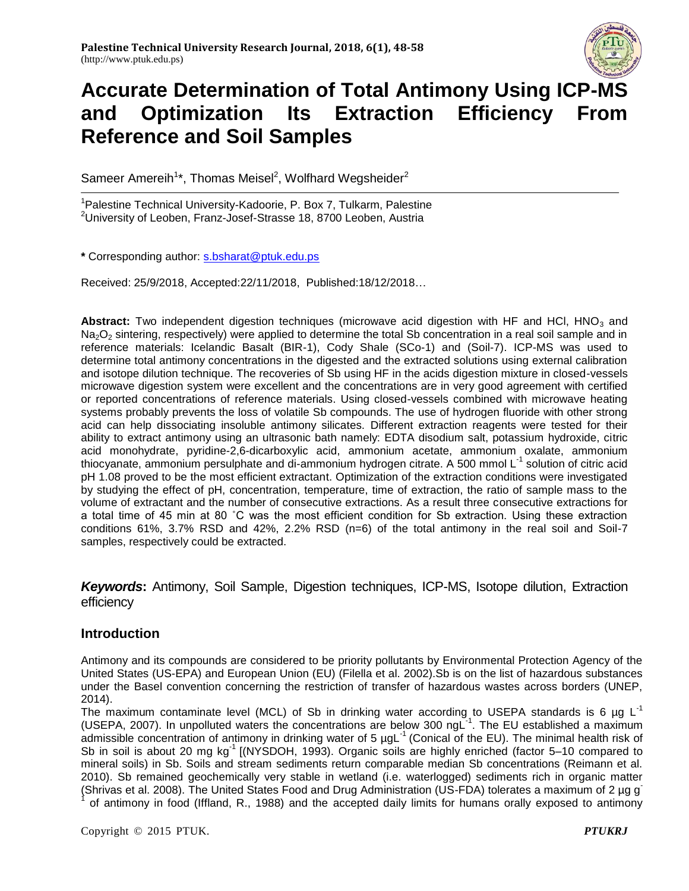

Sameer Amereih<sup>1\*</sup>, Thomas Meisel<sup>2</sup>, Wolfhard Wegsheider<sup>2</sup>

<sup>1</sup>Palestine Technical University-Kadoorie, P. Box 7, Tulkarm, Palestine <sup>2</sup>University of Leoben, Franz-Josef-Strasse 18, 8700 Leoben, Austria

**\*** Corresponding author: [s.bsharat@ptuk.edu.ps](mailto:s.bsharat@ptuk.edu.ps)

Received: 25/9/2018, Accepted:22/11/2018, Published:18/12/2018…

Abstract: Two independent digestion techniques (microwave acid digestion with HF and HCl, HNO<sub>3</sub> and Na<sub>2</sub>O<sub>2</sub> sintering, respectively) were applied to determine the total Sb concentration in a real soil sample and in reference materials: Icelandic Basalt (BIR-1), Cody Shale (SCo-1) and (Soil-7). ICP-MS was used to determine total antimony concentrations in the digested and the extracted solutions using external calibration and isotope dilution technique. The recoveries of Sb using HF in the acids digestion mixture in closed-vessels microwave digestion system were excellent and the concentrations are in very good agreement with certified or reported concentrations of reference materials. Using closed-vessels combined with microwave heating systems probably prevents the loss of volatile Sb compounds. The use of hydrogen fluoride with other strong acid can help dissociating insoluble antimony silicates. Different extraction reagents were tested for their ability to extract antimony using an ultrasonic bath namely: EDTA disodium salt, potassium hydroxide, citric acid monohydrate, pyridine-2,6-dicarboxylic acid, ammonium acetate, ammonium oxalate, ammonium thiocyanate, ammonium persulphate and di-ammonium hydrogen citrate. A 500 mmol L<sup>-1</sup> solution of citric acid pH 1.08 proved to be the most efficient extractant. Optimization of the extraction conditions were investigated by studying the effect of pH, concentration, temperature, time of extraction, the ratio of sample mass to the volume of extractant and the number of consecutive extractions. As a result three consecutive extractions for a total time of 45 min at 80 ˚C was the most efficient condition for Sb extraction. Using these extraction conditions 61%, 3.7% RSD and 42%, 2.2% RSD  $(n=6)$  of the total antimony in the real soil and Soil-7 samples, respectively could be extracted.

*Keywords***:** Antimony, Soil Sample, Digestion techniques, ICP-MS, Isotope dilution, Extraction efficiency

## **Introduction**

Antimony and its compounds are considered to be priority pollutants by Environmental Protection Agency of the United States (US-EPA) and European Union (EU) (Filella et al. 2002).Sb is on the list of hazardous substances under the Basel convention concerning the restriction of transfer of hazardous wastes across borders (UNEP, 2014).

The maximum contaminate level (MCL) of Sb in drinking water according to USEPA standards is 6 µg L<sup>-1</sup> (USEPA, 2007). In unpolluted waters the concentrations are below 300 ngL<sup>-1</sup>. The EU established a maximum admissible concentration of antimony in drinking water of 5  $\mu$ gL<sup>-1</sup> (Conical of the EU). The minimal health risk of Sb in soil is about 20 mg kg<sup>-1</sup> [(NYSDOH, 1993). Organic soils are highly enriched (factor 5–10 compared to mineral soils) in Sb. Soils and stream sediments return comparable median Sb concentrations (Reimann et al. 2010). Sb remained geochemically very stable in wetland (i.e. waterlogged) sediments rich in organic matter (Shrivas et al. 2008). The United States Food and Drug Administration (US-FDA) tolerates a maximum of 2 µg g-1 of antimony in food (Iffland, R., 1988) and the accepted daily limits for humans orally exposed to antimony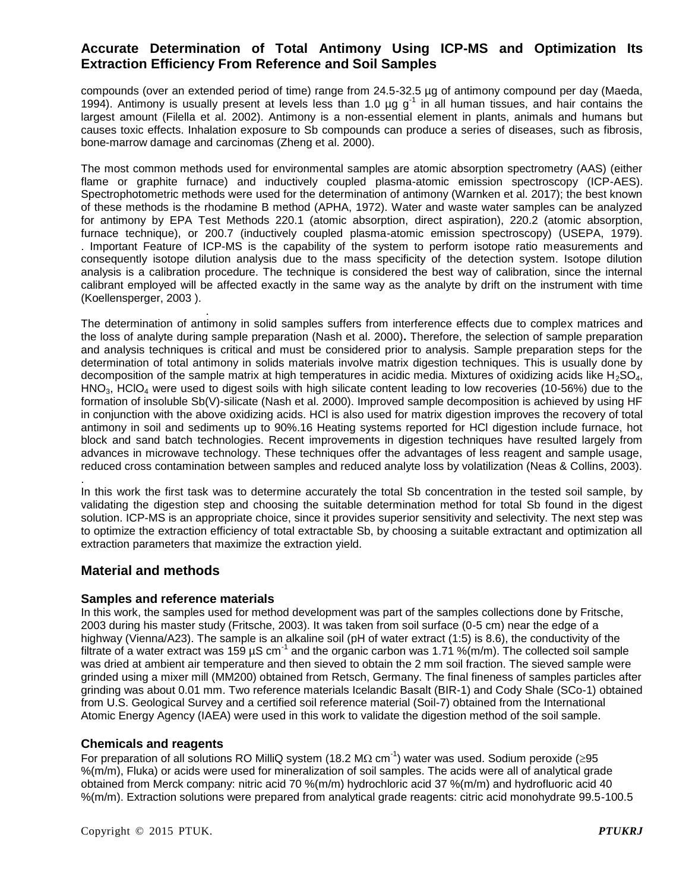compounds (over an extended period of time) range from 24.5-32.5 µg of antimony compound per day (Maeda, 1994). Antimony is usually present at levels less than 1.0  $\mu$ g g<sup>-1</sup> in all human tissues, and hair contains the largest amount (Filella et al. 2002). Antimony is a non-essential element in plants, animals and humans but causes toxic effects. Inhalation exposure to Sb compounds can produce a series of diseases, such as fibrosis, bone-marrow damage and carcinomas (Zheng et al. 2000).

The most common methods used for environmental samples are atomic absorption spectrometry (AAS) (either flame or graphite furnace) and inductively coupled plasma-atomic emission spectroscopy (ICP-AES). Spectrophotometric methods were used for the determination of antimony (Warnken et al. 2017); the best known of these methods is the rhodamine B method (APHA, 1972). Water and waste water samples can be analyzed for antimony by EPA Test Methods 220.1 (atomic absorption, direct aspiration), 220.2 (atomic absorption, furnace technique), or 200.7 (inductively coupled plasma-atomic emission spectroscopy) (USEPA, 1979). . Important Feature of ICP-MS is the capability of the system to perform isotope ratio measurements and consequently isotope dilution analysis due to the mass specificity of the detection system. Isotope dilution analysis is a calibration procedure. The technique is considered the best way of calibration, since the internal calibrant employed will be affected exactly in the same way as the analyte by drift on the instrument with time (Koellensperger, 2003 ).

 . The determination of antimony in solid samples suffers from interference effects due to complex matrices and the loss of analyte during sample preparation (Nash et al. 2000)**.** Therefore, the selection of sample preparation and analysis techniques is critical and must be considered prior to analysis. Sample preparation steps for the determination of total antimony in solids materials involve matrix digestion techniques. This is usually done by decomposition of the sample matrix at high temperatures in acidic media. Mixtures of oxidizing acids like  $H_2SO_4$ ,  $HNO<sub>3</sub>$ , HClO<sub>4</sub> were used to digest soils with high silicate content leading to low recoveries (10-56%) due to the formation of insoluble Sb(V)-silicate (Nash et al. 2000). Improved sample decomposition is achieved by using HF in conjunction with the above oxidizing acids. HCl is also used for matrix digestion improves the recovery of total antimony in soil and sediments up to 90%.16 Heating systems reported for HCl digestion include furnace, hot block and sand batch technologies. Recent improvements in digestion techniques have resulted largely from advances in microwave technology. These techniques offer the advantages of less reagent and sample usage, reduced cross contamination between samples and reduced analyte loss by volatilization (Neas & Collins, 2003).

In this work the first task was to determine accurately the total Sb concentration in the tested soil sample, by validating the digestion step and choosing the suitable determination method for total Sb found in the digest solution. ICP-MS is an appropriate choice, since it provides superior sensitivity and selectivity. The next step was to optimize the extraction efficiency of total extractable Sb, by choosing a suitable extractant and optimization all extraction parameters that maximize the extraction yield.

## **Material and methods**

.

### **Samples and reference materials**

In this work, the samples used for method development was part of the samples collections done by Fritsche, 2003 during his master study (Fritsche, 2003). It was taken from soil surface (0-5 cm) near the edge of a highway (Vienna/A23). The sample is an alkaline soil (pH of water extract (1:5) is 8.6), the conductivity of the filtrate of a water extract was 159 µS cm<sup>-1</sup> and the organic carbon was 1.71 %(m/m). The collected soil sample was dried at ambient air temperature and then sieved to obtain the 2 mm soil fraction. The sieved sample were grinded using a mixer mill (MM200) obtained from Retsch, Germany. The final fineness of samples particles after grinding was about 0.01 mm. Two reference materials Icelandic Basalt (BIR-1) and Cody Shale (SCo-1) obtained from U.S. Geological Survey and a certified soil reference material (Soil-7) obtained from the International Atomic Energy Agency (IAEA) were used in this work to validate the digestion method of the soil sample.

### **Chemicals and reagents**

For preparation of all solutions RO MilliQ system (18.2 M $\Omega$  cm<sup>-1</sup>) water was used. Sodium peroxide (≥95 %(m/m), Fluka) or acids were used for mineralization of soil samples. The acids were all of analytical grade obtained from Merck company: nitric acid 70 %(m/m) hydrochloric acid 37 %(m/m) and hydrofluoric acid 40 %(m/m). Extraction solutions were prepared from analytical grade reagents: citric acid monohydrate 99.5-100.5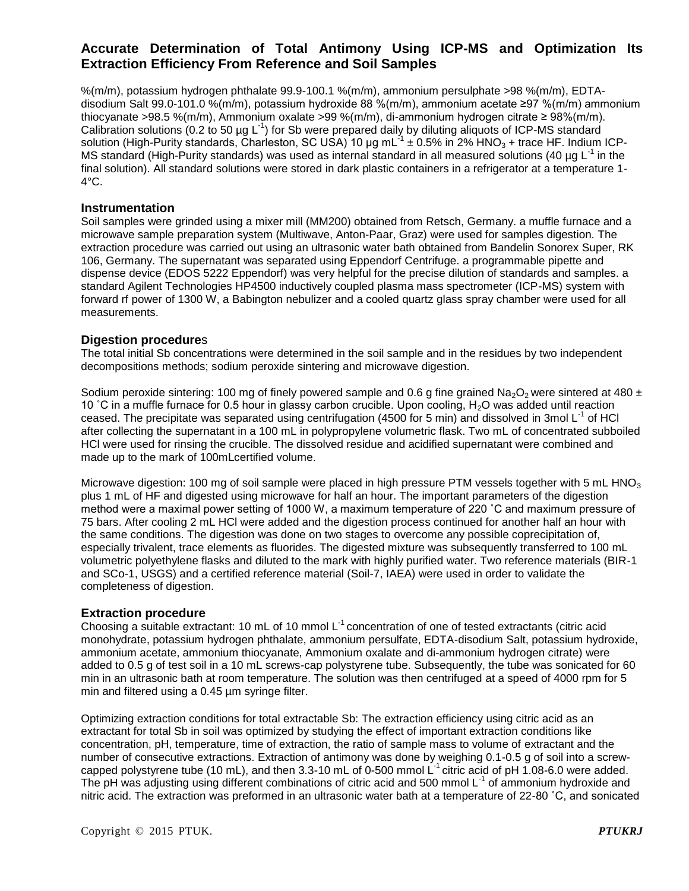%(m/m), potassium hydrogen phthalate 99.9-100.1 %(m/m), ammonium persulphate >98 %(m/m), EDTAdisodium Salt 99.0-101.0 %(m/m), potassium hydroxide 88 %(m/m), ammonium acetate ≥97 %(m/m) ammonium thiocyanate >98.5 %(m/m), Ammonium oxalate >99 %(m/m), di-ammonium hydrogen citrate ≥ 98%(m/m). Calibration solutions (0.2 to 50  $\mu$ g L<sup>-1</sup>) for Sb were prepared daily by diluting aliquots of ICP-MS standard solution (High-Purity standards, Charleston, SC USA) 10 µg mL $^{-1}$  ± 0.5% in 2% HNO<sub>3</sub> + trace HF. Indium ICP-MS standard (High-Purity standards) was used as internal standard in all measured solutions (40 µg L<sup>-1</sup> in the final solution). All standard solutions were stored in dark plastic containers in a refrigerator at a temperature 1-  $4^{\circ}$ C.

#### **Instrumentation**

Soil samples were grinded using a mixer mill (MM200) obtained from Retsch, Germany. a muffle furnace and a microwave sample preparation system (Multiwave, Anton-Paar, Graz) were used for samples digestion. The extraction procedure was carried out using an ultrasonic water bath obtained from Bandelin Sonorex Super, RK 106, Germany. The supernatant was separated using Eppendorf Centrifuge. a programmable pipette and dispense device (EDOS 5222 Eppendorf) was very helpful for the precise dilution of standards and samples. a standard Agilent Technologies HP4500 inductively coupled plasma mass spectrometer (ICP-MS) system with forward rf power of 1300 W, a Babington nebulizer and a cooled quartz glass spray chamber were used for all measurements.

#### **Digestion procedure**s

The total initial Sb concentrations were determined in the soil sample and in the residues by two independent decompositions methods; sodium peroxide sintering and microwave digestion.

Sodium peroxide sintering: 100 mg of finely powered sample and 0.6 g fine grained Na<sub>2</sub>O<sub>2</sub> were sintered at 480  $\pm$ 10 °C in a muffle furnace for 0.5 hour in glassy carbon crucible. Upon cooling, H<sub>2</sub>O was added until reaction ceased. The precipitate was separated using centrifugation (4500 for 5 min) and dissolved in 3mol L<sup>-1</sup> of HCl after collecting the supernatant in a 100 mL in polypropylene volumetric flask. Two mL of concentrated subboiled HCl were used for rinsing the crucible. The dissolved residue and acidified supernatant were combined and made up to the mark of 100mLcertified volume.

Microwave digestion: 100 mg of soil sample were placed in high pressure PTM vessels together with 5 mL HNO<sub>3</sub> plus 1 mL of HF and digested using microwave for half an hour. The important parameters of the digestion method were a maximal power setting of 1000 W, a maximum temperature of 220 ˚C and maximum pressure of 75 bars. After cooling 2 mL HCl were added and the digestion process continued for another half an hour with the same conditions. The digestion was done on two stages to overcome any possible coprecipitation of, especially trivalent, trace elements as fluorides. The digested mixture was subsequently transferred to 100 mL volumetric polyethylene flasks and diluted to the mark with highly purified water. Two reference materials (BIR-1 and SCo-1, USGS) and a certified reference material (Soil-7, IAEA) were used in order to validate the completeness of digestion.

### **Extraction procedure**

Choosing a suitable extractant: 10 mL of 10 mmol  $L^{-1}$  concentration of one of tested extractants (citric acid monohydrate, potassium hydrogen phthalate, ammonium persulfate, EDTA-disodium Salt, potassium hydroxide, ammonium acetate, ammonium thiocyanate, Ammonium oxalate and di-ammonium hydrogen citrate) were added to 0.5 g of test soil in a 10 mL screws-cap polystyrene tube. Subsequently, the tube was sonicated for 60 min in an ultrasonic bath at room temperature. The solution was then centrifuged at a speed of 4000 rpm for 5 min and filtered using a 0.45 µm syringe filter.

Optimizing extraction conditions for total extractable Sb: The extraction efficiency using citric acid as an extractant for total Sb in soil was optimized by studying the effect of important extraction conditions like concentration, pH, temperature, time of extraction, the ratio of sample mass to volume of extractant and the number of consecutive extractions. Extraction of antimony was done by weighing 0.1-0.5 g of soil into a screwcapped polystyrene tube (10 mL), and then 3.3-10 mL of 0-500 mmol  $L<sup>1</sup>$  citric acid of pH 1.08-6.0 were added. The pH was adjusting using different combinations of citric acid and 500 mmol L<sup>-1</sup> of ammonium hydroxide and nitric acid. The extraction was preformed in an ultrasonic water bath at a temperature of 22-80 ˚C, and sonicated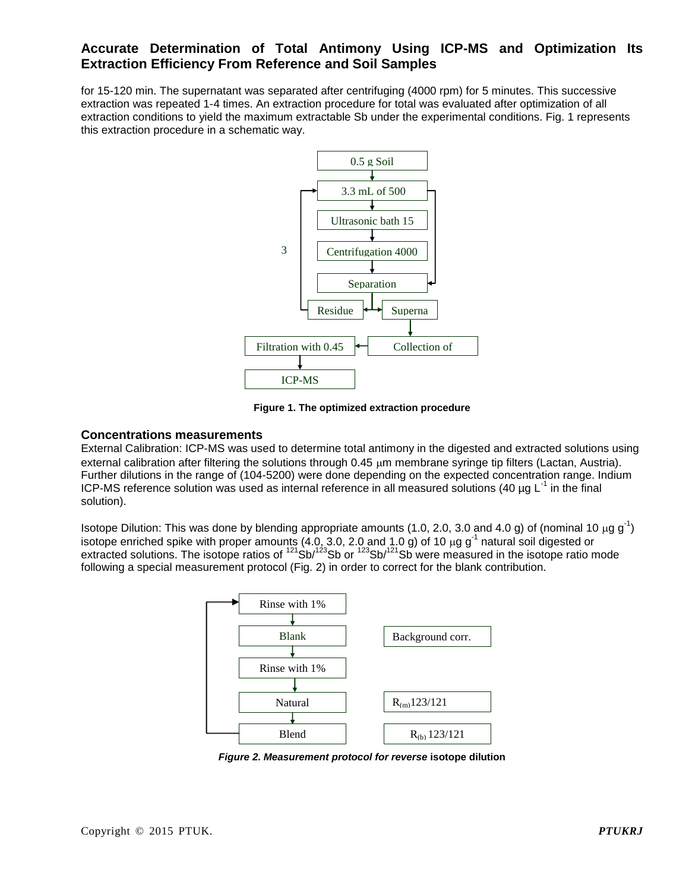for 15-120 min. The supernatant was separated after centrifuging (4000 rpm) for 5 minutes. This successive extraction was repeated 1-4 times. An extraction procedure for total was evaluated after optimization of all extraction conditions to yield the maximum extractable Sb under the experimental conditions. Fig. 1 represents this extraction procedure in a schematic way.



**Figure 1. The optimized extraction procedure**

### **Concentrations measurements**

External Calibration: ICP-MS was used to determine total antimony in the digested and extracted solutions using external calibration after filtering the solutions through  $0.45 \mu m$  membrane syringe tip filters (Lactan, Austria). Further dilutions in the range of (104-5200) were done depending on the expected concentration range. Indium ICP-MS reference solution was used as internal reference in all measured solutions (40 µg  $L^{-1}$  in the final solution).

Isotope Dilution: This was done by blending appropriate amounts (1.0, 2.0, 3.0 and 4.0 g) of (nominal 10  $\mu$ g g<sup>-1</sup>) isotope enriched spike with proper amounts (4.0, 3.0, 2.0 and 1.0 g) of 10  $\mu$ g g<sup>-1</sup> natural soil digested or extracted solutions. The isotope ratios of <sup>121</sup>Sb/<sup>123</sup>Sb or <sup>123</sup>Sb/<sup>121</sup>Sb were measured in the isotope ratio mode following a special measurement protocol (Fig. 2) in order to correct for the blank contribution.



*Figure 2. Measurement protocol for reverse* **isotope dilution**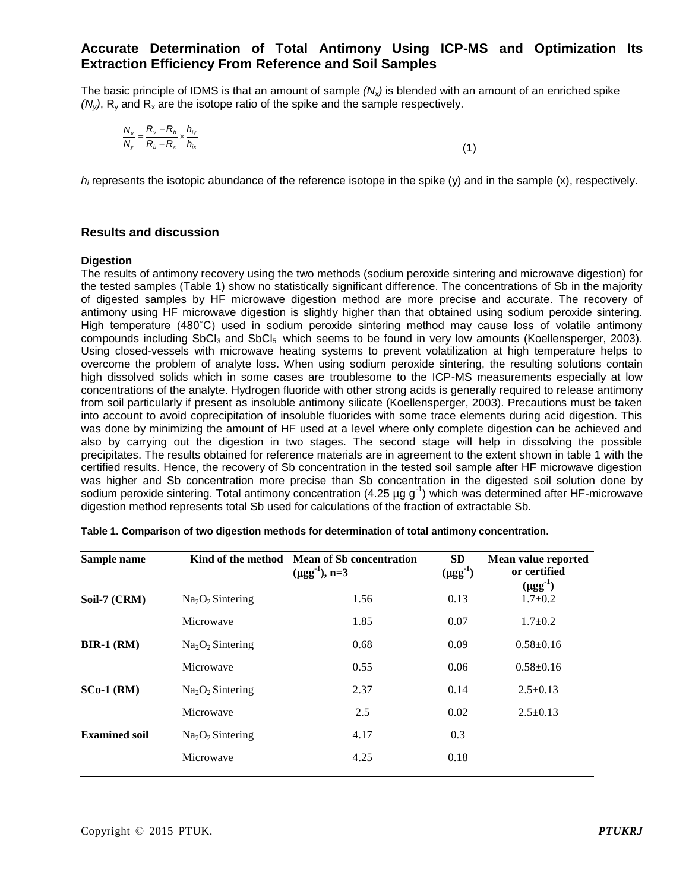The basic principle of IDMS is that an amount of sample *(Nx)* is blended with an amount of an enriched spike  $(N_v)$ , R<sub>y</sub> and R<sub>x</sub> are the isotope ratio of the spike and the sample respectively.

$$
\frac{N_x}{N_y} = \frac{R_y - R_b}{R_b - R_x} \times \frac{h_{iy}}{h_{ix}}
$$
\n(1)

 $h_i$  represents the isotopic abundance of the reference isotope in the spike (y) and in the sample  $(x)$ , respectively.

#### **Results and discussion**

#### **Digestion**

The results of antimony recovery using the two methods (sodium peroxide sintering and microwave digestion) for the tested samples (Table 1) show no statistically significant difference. The concentrations of Sb in the majority of digested samples by HF microwave digestion method are more precise and accurate. The recovery of antimony using HF microwave digestion is slightly higher than that obtained using sodium peroxide sintering. High temperature (480˚C) used in sodium peroxide sintering method may cause loss of volatile antimony compounds including SbCl<sub>3</sub> and SbCl<sub>5</sub> which seems to be found in very low amounts (Koellensperger, 2003). Using closed-vessels with microwave heating systems to prevent volatilization at high temperature helps to overcome the problem of analyte loss. When using sodium peroxide sintering, the resulting solutions contain high dissolved solids which in some cases are troublesome to the ICP-MS measurements especially at low concentrations of the analyte. Hydrogen fluoride with other strong acids is generally required to release antimony from soil particularly if present as insoluble antimony silicate (Koellensperger, 2003). Precautions must be taken into account to avoid coprecipitation of insoluble fluorides with some trace elements during acid digestion. This was done by minimizing the amount of HF used at a level where only complete digestion can be achieved and also by carrying out the digestion in two stages. The second stage will help in dissolving the possible precipitates. The results obtained for reference materials are in agreement to the extent shown in table 1 with the certified results. Hence, the recovery of Sb concentration in the tested soil sample after HF microwave digestion was higher and Sb concentration more precise than Sb concentration in the digested soil solution done by sodium peroxide sintering. Total antimony concentration (4.25 µg g<sup>-1</sup>) which was determined after HF-microwave digestion method represents total Sb used for calculations of the fraction of extractable Sb.

| Sample name          |                                          | Kind of the method Mean of Sb concentration<br>$(\mu gg^{-1}), n=3$ | <b>SD</b><br>$(\mu gg^1)$ | Mean value reported<br>or certified<br>$(\mu gg^{-1})$ |
|----------------------|------------------------------------------|---------------------------------------------------------------------|---------------------------|--------------------------------------------------------|
| Soil-7 (CRM)         | Na <sub>2</sub> O <sub>2</sub> Sintering | 1.56                                                                | 0.13                      | $1.7 \pm 0.2$                                          |
|                      | Microwave                                | 1.85                                                                | 0.07                      | $1.7 \pm 0.2$                                          |
| $BIR-1$ (RM)         | Na <sub>2</sub> O <sub>2</sub> Sintering | 0.68                                                                | 0.09                      | $0.58 \pm 0.16$                                        |
|                      | Microwave                                | 0.55                                                                | 0.06                      | $0.58 \pm 0.16$                                        |
| $SCo-1$ (RM)         | $Na2O2$ Sintering                        | 2.37                                                                | 0.14                      | $2.5 \pm 0.13$                                         |
|                      | Microwave                                | 2.5                                                                 | 0.02                      | $2.5+0.13$                                             |
| <b>Examined soil</b> | Na <sub>2</sub> O <sub>2</sub> Sintering | 4.17                                                                | 0.3                       |                                                        |
|                      | Microwave                                | 4.25                                                                | 0.18                      |                                                        |
|                      |                                          |                                                                     |                           |                                                        |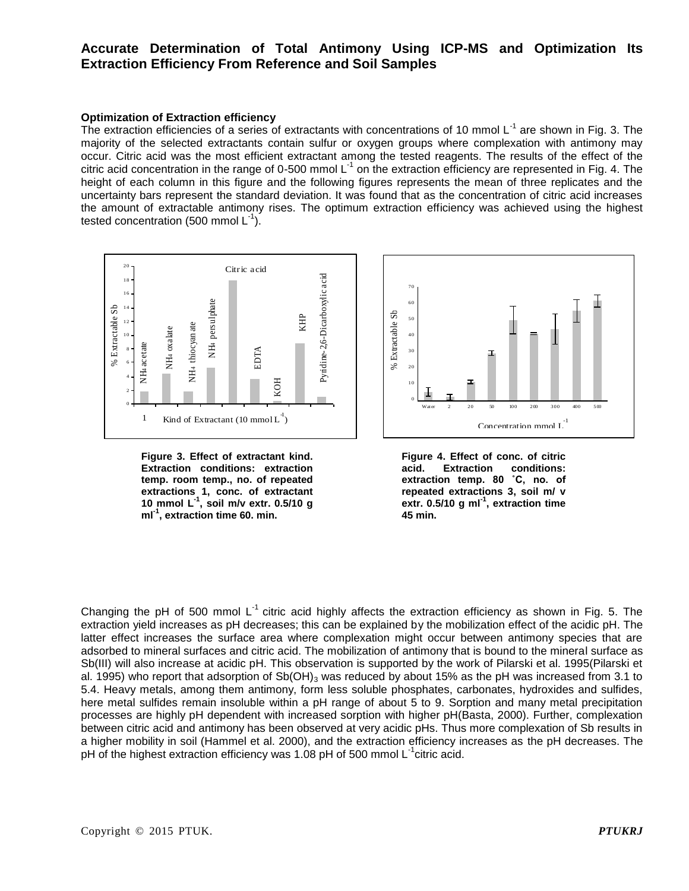#### **Optimization of Extraction efficiency**

The extraction efficiencies of a series of extractants with concentrations of 10 mmol  $L^{-1}$  are shown in Fig. 3. The majority of the selected extractants contain sulfur or oxygen groups where complexation with antimony may occur. Citric acid was the most efficient extractant among the tested reagents. The results of the effect of the citric acid concentration in the range of 0-500 mmol L<sup>-1</sup> on the extraction efficiency are represented in Fig. 4. The height of each column in this figure and the following figures represents the mean of three replicates and the uncertainty bars represent the standard deviation. It was found that as the concentration of citric acid increases the amount of extractable antimony rises. The optimum extraction efficiency was achieved using the highest tested concentration (500 mmol  $L^{-1}$ ). active of 1<br>
itric d co<br>
f ea hty l<br>  $\frac{1}{18}$ <br>  $\frac{1}{16}$ <br>  $\frac{1}{14}$ <br>  $\frac{1}{12}$ ation<br>active of 1<br>itriced code<br>f early 1<br>and 1<br>and 1<br>and 1<br>and 1<br>and 1<br>and 1<br>and 1<br>and 1<br>and 1<br>and 1<br>and 1<br>and 1<br>and 1<br>and 1<br>and 1<br>and 1<br>and 1<br>and 1<br>and 1<br>and 1<br>and 1<br>and 1<br>and 1<br>and 1<br>and 1<br>and 1<br>and 1<br>and 1<br>and 1<br>and 1<br>a 2 0 ratio<br>
oup<br>
stection<br>
at a<br>
contraction<br>  $\begin{bmatrix} 1 & 0 \\ 0 & 0 \\ 0 & 0 \\ 0 & 0 \\ 0 & 0 \\ 0 & 0 \\ 0 & 0 \\ 0 & 0 \\ 0 & 0 \\ 0 & 0 \\ 0 & 0 \\ 0 & 0 \\ 0 & 0 \\ 0 & 0 \\ 0 & 0 \\ 0 & 0 \\ 0 & 0 \\ 0 & 0 \\ 0 & 0 \\ 0 & 0 \\ 0 & 0 \\ 0 & 0 \\ 0 & 0 & 0 \\ 0 & 0 & 0 \\ 0 & 0 & 0 \\ 0 & 0 & 0 \\ 0 & 0 &$ 



**Figure 3. Effect of extractant kind. Extraction conditions: extraction temp. room temp., no. of repeated extractions 1, conc. of extractant 10 mmol L-1 , soil m/v extr. 0.5/10 g ml-1 , extraction time 60. min.**





Changing the pH of 500 mmol  $L^{-1}$  citric acid highly affects the extraction efficiency as shown in Fig. 5. The extraction yield increases as pH decreases; this can be explained by the mobilization effect of the acidic pH. The latter effect increases the surface area where complexation might occur between antimony species that are adsorbed to mineral surfaces and citric acid. The mobilization of antimony that is bound to the mineral surface as Sb(III) will also increase at acidic pH. This observation is supported by the work of Pilarski et al. 1995(Pilarski et al. 1995) who report that adsorption of Sb(OH)<sub>3</sub> was reduced by about 15% as the pH was increased from 3.1 to 5.4. Heavy metals, among them antimony, form less soluble phosphates, carbonates, hydroxides and sulfides, here metal sulfides remain insoluble within a pH range of about 5 to 9. Sorption and many metal precipitation processes are highly pH dependent with increased sorption with higher pH(Basta, 2000). Further, complexation between citric acid and antimony has been observed at very acidic pHs. Thus more complexation of Sb results in a higher mobility in soil (Hammel et al. 2000), and the extraction efficiency increases as the pH decreases. The pH of the highest extraction efficiency was 1.08 pH of 500 mmol  $L^{-1}$ citric acid.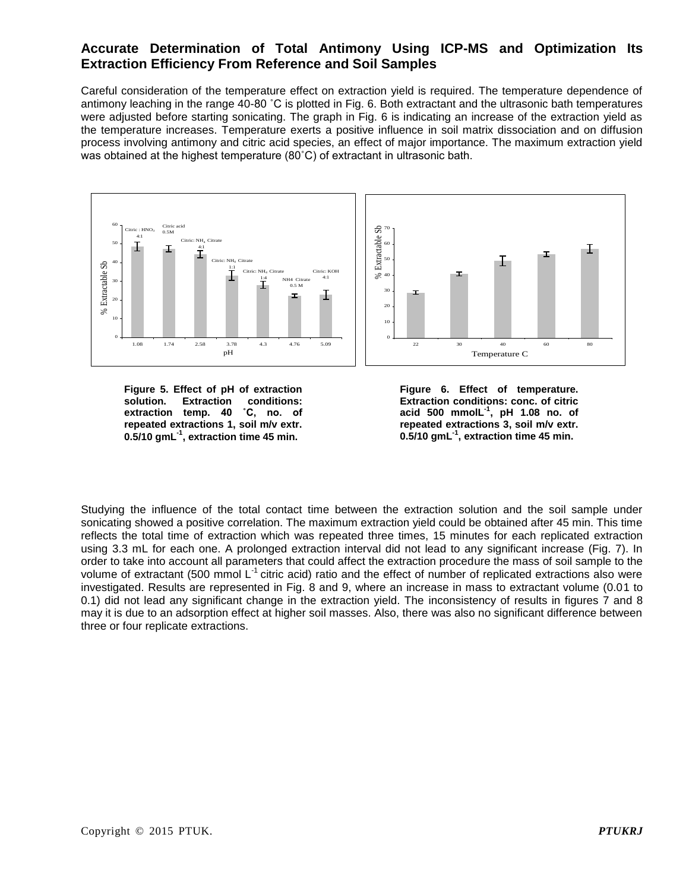Careful consideration of the temperature effect on extraction yield is required. The temperature dependence of antimony leaching in the range 40-80 ˚C is plotted in Fig. 6. Both extractant and the ultrasonic bath temperatures were adjusted before starting sonicating. The graph in Fig. 6 is indicating an increase of the extraction yield as the temperature increases. Temperature exerts a positive influence in soil matrix dissociation and on diffusion process involving antimony and citric acid species, an effect of major importance. The maximum extraction yield was obtained at the highest temperature (80˚C) of extractant in ultrasonic bath.



**Figure 5. Effect of pH of extraction solution. Extraction conditions: extraction temp. 40 ˚C, no. of repeated extractions 1, soil m/v extr. 0.5/10 gmL-1 , extraction time 45 min.**

**Figure 6. Effect of temperature. Extraction conditions: conc. of citric acid 500 mmolL-1 , pH 1.08 no. of repeated extractions 3, soil m/v extr. 0.5/10 gmL-1 , extraction time 45 min.**

Studying the influence of the total contact time between the extraction solution and the soil sample under sonicating showed a positive correlation. The maximum extraction yield could be obtained after 45 min. This time reflects the total time of extraction which was repeated three times, 15 minutes for each replicated extraction using 3.3 mL for each one. A prolonged extraction interval did not lead to any significant increase (Fig. 7). In order to take into account all parameters that could affect the extraction procedure the mass of soil sample to the volume of extractant (500 mmol  $L^{-1}$  citric acid) ratio and the effect of number of replicated extractions also were investigated. Results are represented in Fig. 8 and 9, where an increase in mass to extractant volume (0.01 to 0.1) did not lead any significant change in the extraction yield. The inconsistency of results in figures 7 and 8 may it is due to an adsorption effect at higher soil masses. Also, there was also no significant difference between three or four replicate extractions.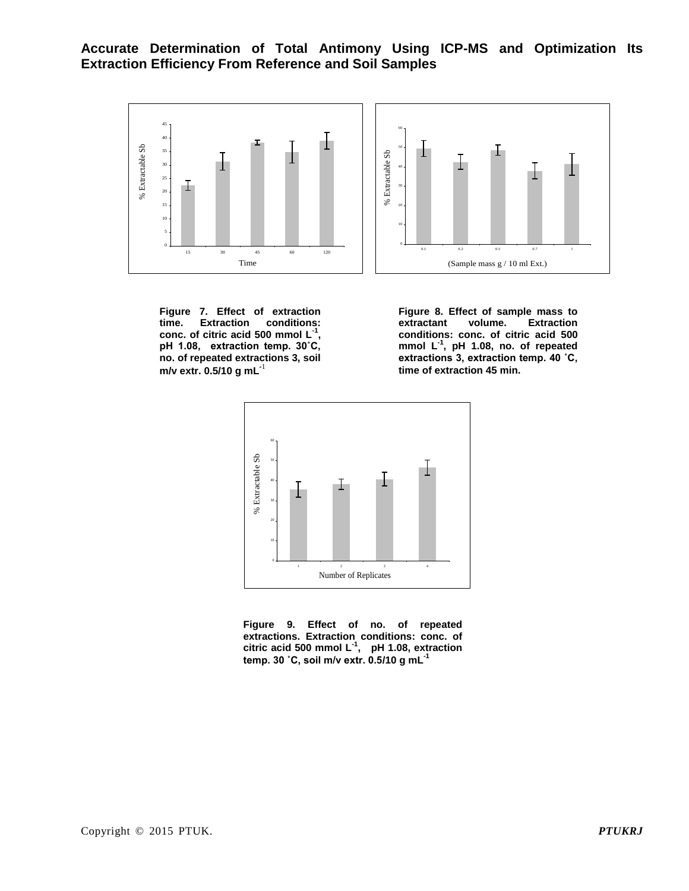

**Figure 7. Effect of extraction time. Extraction conditions: conc. of citric acid 500 mmol L-1 , pH 1.08, extraction temp. 30˚C, no. of repeated extractions 3, soil m/v extr. 0.5/10 g mL-**<sup>1</sup>

**Figure 8. Effect of sample mass to extractant volume. Extraction conditions: conc. of citric acid 500 mmol L-1 , pH 1.08, no. of repeated extractions 3, extraction temp. 40 ˚C, time of extraction 45 min.**



**Figure 9. Effect of no. of repeated extractions. Extraction conditions: conc. of citric acid 500 mmol L-1 , pH 1.08, extraction temp. 30 ˚C, soil m/v extr. 0.5/10 g mL-1**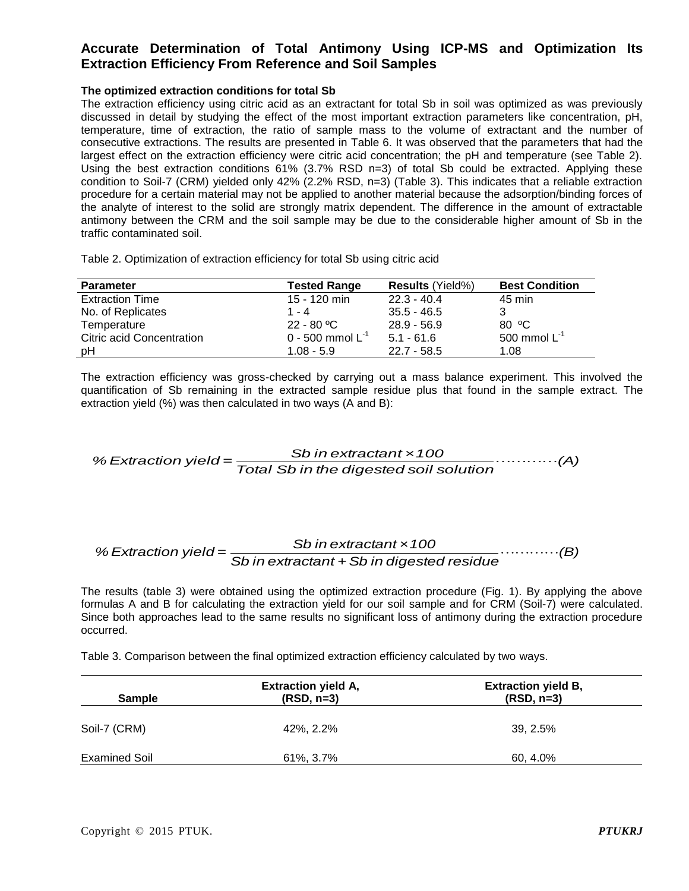#### **The optimized extraction conditions for total Sb**

The extraction efficiency using citric acid as an extractant for total Sb in soil was optimized as was previously discussed in detail by studying the effect of the most important extraction parameters like concentration, pH, temperature, time of extraction, the ratio of sample mass to the volume of extractant and the number of consecutive extractions. The results are presented in Table 6. It was observed that the parameters that had the largest effect on the extraction efficiency were citric acid concentration; the pH and temperature (see Table 2). Using the best extraction conditions 61% (3.7% RSD n=3) of total Sb could be extracted. Applying these condition to Soil-7 (CRM) yielded only 42% (2.2% RSD, n=3) (Table 3). This indicates that a reliable extraction procedure for a certain material may not be applied to another material because the adsorption/binding forces of the analyte of interest to the solid are strongly matrix dependent. The difference in the amount of extractable antimony between the CRM and the soil sample may be due to the considerable higher amount of Sb in the traffic contaminated soil.

Table 2. Optimization of extraction efficiency for total Sb using citric acid

| <b>Parameter</b>                 | <b>Tested Range</b>   | <b>Results (Yield%)</b> | <b>Best Condition</b> |
|----------------------------------|-----------------------|-------------------------|-----------------------|
| <b>Extraction Time</b>           | 15 - 120 min          | $22.3 - 40.4$           | 45 min                |
| No. of Replicates                | 1 - 4                 | $35.5 - 46.5$           |                       |
| Temperature                      | $22 - 80 °C$          | $28.9 - 56.9$           | 80 °C                 |
| <b>Citric acid Concentration</b> | 0 - 500 mmol $L^{-1}$ | $5.1 - 61.6$            | 500 mmol $L^{-1}$     |
| pH                               | $1.08 - 5.9$          | $22.7 - 58.5$           | 1.08                  |

The extraction efficiency was gross-checked by carrying out a mass balance experiment. This involved the quantification of Sb remaining in the extracted sample residue plus that found in the sample extract. The extraction yield (%) was then calculated in two ways (A and B):

*(A) Total Sb in the digested soil solution Sb in extractant ×100 % Extraction yield <sup>=</sup>*

#### *(B) Sb in extractant +Sb in digested residue Sb in extractant ×100 % Extraction yield =*

The results (table 3) were obtained using the optimized extraction procedure (Fig. 1). By applying the above formulas A and B for calculating the extraction yield for our soil sample and for CRM (Soil-7) were calculated. Since both approaches lead to the same results no significant loss of antimony during the extraction procedure occurred.

Table 3. Comparison between the final optimized extraction efficiency calculated by two ways.

| <b>Sample</b>        | <b>Extraction yield A,</b><br>$(RSD, n=3)$ | <b>Extraction yield B,</b><br>$(RSD, n=3)$ |
|----------------------|--------------------------------------------|--------------------------------------------|
| Soil-7 (CRM)         | 42%, 2.2%                                  | 39, 2.5%                                   |
| <b>Examined Soil</b> | 61%, 3.7%                                  | 60, 4.0%                                   |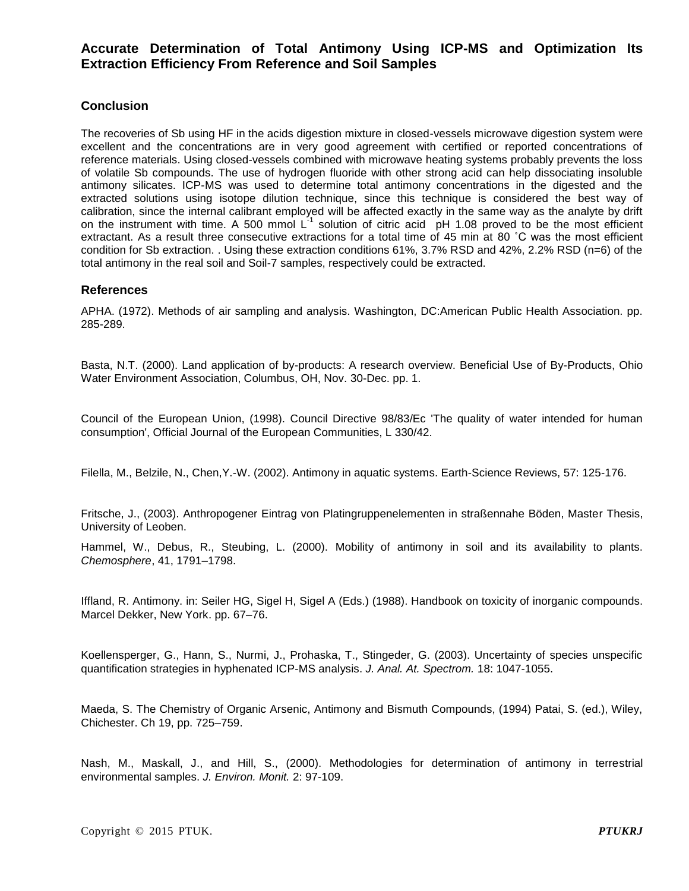### **Conclusion**

The recoveries of Sb using HF in the acids digestion mixture in closed-vessels microwave digestion system were excellent and the concentrations are in very good agreement with certified or reported concentrations of reference materials. Using closed-vessels combined with microwave heating systems probably prevents the loss of volatile Sb compounds. The use of hydrogen fluoride with other strong acid can help dissociating insoluble antimony silicates. ICP-MS was used to determine total antimony concentrations in the digested and the extracted solutions using isotope dilution technique, since this technique is considered the best way of calibration, since the internal calibrant employed will be affected exactly in the same way as the analyte by drift on the instrument with time. A 500 mmol  $L<sup>1</sup>$  solution of citric acid pH 1.08 proved to be the most efficient extractant. As a result three consecutive extractions for a total time of 45 min at 80 ˚C was the most efficient condition for Sb extraction. . Using these extraction conditions 61%, 3.7% RSD and 42%, 2.2% RSD (n=6) of the total antimony in the real soil and Soil-7 samples, respectively could be extracted.

### **References**

APHA. (1972). Methods of air sampling and analysis. Washington, DC:American Public Health Association. pp. 285-289.

Basta, N.T. (2000). Land application of by-products: A research overview. Beneficial Use of By-Products, Ohio Water Environment Association, Columbus, OH, Nov. 30-Dec. pp. 1.

Council of the European Union, (1998). Council Directive 98/83/Ec 'The quality of water intended for human consumption', Official Journal of the European Communities, L 330/42.

Filella, M., Belzile, N., Chen,Y.-W. (2002). Antimony in aquatic systems. Earth-Science Reviews, 57: 125-176.

Fritsche, J., (2003). Anthropogener Eintrag von Platingruppenelementen in straßennahe Böden, Master Thesis, University of Leoben.

Hammel, W., Debus, R., Steubing, L. (2000). Mobility of antimony in soil and its availability to plants. *Chemosphere*, 41, 1791–1798.

Iffland, R. Antimony. in: Seiler HG, Sigel H, Sigel A (Eds.) (1988). Handbook on toxicity of inorganic compounds. Marcel Dekker, New York. pp. 67–76.

Koellensperger, G., Hann, S., Nurmi, J., Prohaska, T., Stingeder, G. (2003). Uncertainty of species unspecific quantification strategies in hyphenated ICP-MS analysis. *J. Anal. At. Spectrom.* 18: 1047-1055.

Maeda, S. The Chemistry of Organic Arsenic, Antimony and Bismuth Compounds, (1994) Patai, S. (ed.), Wiley, Chichester. Ch 19, pp. 725–759.

Nash, M., Maskall, J., and Hill, S., (2000). Methodologies for determination of antimony in terrestrial environmental samples. *J. Environ. Monit.* 2: 97-109.